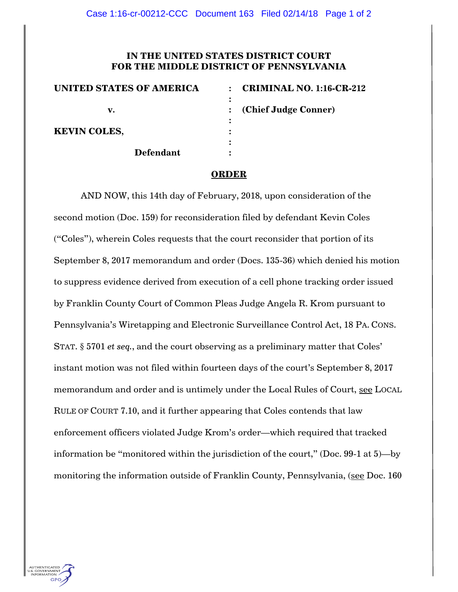## **IN THE UNITED STATES DISTRICT COURT FOR THE MIDDLE DISTRICT OF PENNSYLVANIA**

| <b>UNITED STATES OF AMERICA</b> | <b>CRIMINAL NO. 1:16-CR-212</b><br>$\bullet$ |
|---------------------------------|----------------------------------------------|
|                                 |                                              |
| v.                              | (Chief Judge Conner)                         |
| <b>KEVIN COLES,</b>             |                                              |
|                                 |                                              |
| <b>Defendant</b>                |                                              |

## **ORDER**

AND NOW, this 14th day of February, 2018, upon consideration of the second motion (Doc. 159) for reconsideration filed by defendant Kevin Coles ("Coles"), wherein Coles requests that the court reconsider that portion of its September 8, 2017 memorandum and order (Docs. 135-36) which denied his motion to suppress evidence derived from execution of a cell phone tracking order issued by Franklin County Court of Common Pleas Judge Angela R. Krom pursuant to Pennsylvania's Wiretapping and Electronic Surveillance Control Act, 18 PA. CONS. STAT. § 5701 *et seq.*, and the court observing as a preliminary matter that Coles' instant motion was not filed within fourteen days of the court's September 8, 2017 memorandum and order and is untimely under the Local Rules of Court, see LOCAL RULE OF COURT 7.10, and it further appearing that Coles contends that law enforcement officers violated Judge Krom's order—which required that tracked information be "monitored within the jurisdiction of the court," (Doc. 99-1 at 5)—by monitoring the information outside of Franklin County, Pennsylvania, (see Doc. 160